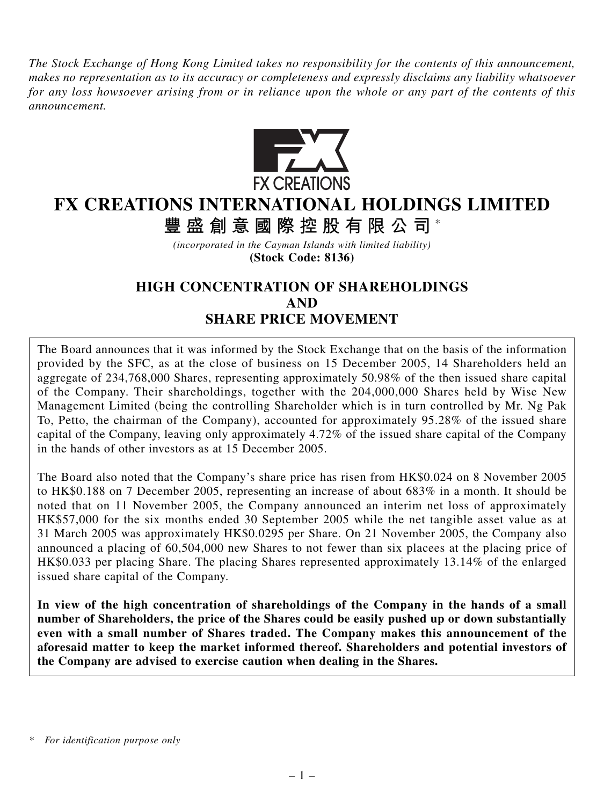*The Stock Exchange of Hong Kong Limited takes no responsibility for the contents of this announcement, makes no representation as to its accuracy or completeness and expressly disclaims any liability whatsoever for any loss howsoever arising from or in reliance upon the whole or any part of the contents of this announcement.*



# **FX CREATIONS INTERNATIONAL HOLDINGS LIMITED**

**豐盛創意國際控股有限公司** \*

*(incorporated in the Cayman Islands with limited liability)* **(Stock Code: 8136)**

# **HIGH CONCENTRATION OF SHAREHOLDINGS AND SHARE PRICE MOVEMENT**

The Board announces that it was informed by the Stock Exchange that on the basis of the information provided by the SFC, as at the close of business on 15 December 2005, 14 Shareholders held an aggregate of 234,768,000 Shares, representing approximately 50.98% of the then issued share capital of the Company. Their shareholdings, together with the 204,000,000 Shares held by Wise New Management Limited (being the controlling Shareholder which is in turn controlled by Mr. Ng Pak To, Petto, the chairman of the Company), accounted for approximately 95.28% of the issued share capital of the Company, leaving only approximately 4.72% of the issued share capital of the Company in the hands of other investors as at 15 December 2005.

The Board also noted that the Company's share price has risen from HK\$0.024 on 8 November 2005 to HK\$0.188 on 7 December 2005, representing an increase of about 683% in a month. It should be noted that on 11 November 2005, the Company announced an interim net loss of approximately HK\$57,000 for the six months ended 30 September 2005 while the net tangible asset value as at 31 March 2005 was approximately HK\$0.0295 per Share. On 21 November 2005, the Company also announced a placing of 60,504,000 new Shares to not fewer than six placees at the placing price of HK\$0.033 per placing Share. The placing Shares represented approximately 13.14% of the enlarged issued share capital of the Company.

**In view of the high concentration of shareholdings of the Company in the hands of a small number of Shareholders, the price of the Shares could be easily pushed up or down substantially even with a small number of Shares traded. The Company makes this announcement of the aforesaid matter to keep the market informed thereof. Shareholders and potential investors of the Company are advised to exercise caution when dealing in the Shares.**

*<sup>\*</sup> For identification purpose only*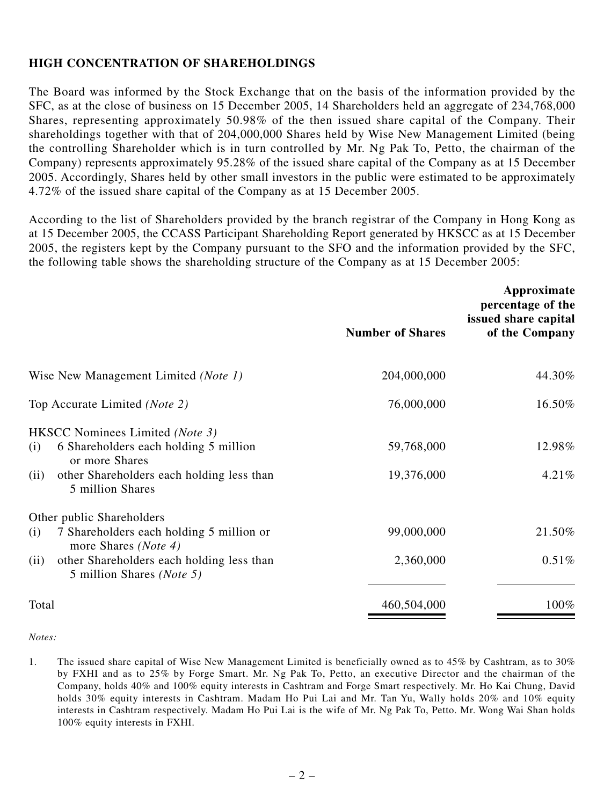### **HIGH CONCENTRATION OF SHAREHOLDINGS**

The Board was informed by the Stock Exchange that on the basis of the information provided by the SFC, as at the close of business on 15 December 2005, 14 Shareholders held an aggregate of 234,768,000 Shares, representing approximately 50.98% of the then issued share capital of the Company. Their shareholdings together with that of 204,000,000 Shares held by Wise New Management Limited (being the controlling Shareholder which is in turn controlled by Mr. Ng Pak To, Petto, the chairman of the Company) represents approximately 95.28% of the issued share capital of the Company as at 15 December 2005. Accordingly, Shares held by other small investors in the public were estimated to be approximately 4.72% of the issued share capital of the Company as at 15 December 2005.

According to the list of Shareholders provided by the branch registrar of the Company in Hong Kong as at 15 December 2005, the CCASS Participant Shareholding Report generated by HKSCC as at 15 December 2005, the registers kept by the Company pursuant to the SFO and the information provided by the SFC, the following table shows the shareholding structure of the Company as at 15 December 2005:

|                                                                                                                                                                                                 | <b>Number of Shares</b>  | Approximate<br>percentage of the<br>issued share capital<br>of the Company |
|-------------------------------------------------------------------------------------------------------------------------------------------------------------------------------------------------|--------------------------|----------------------------------------------------------------------------|
| Wise New Management Limited (Note 1)                                                                                                                                                            | 204,000,000              | 44.30%                                                                     |
| Top Accurate Limited (Note 2)                                                                                                                                                                   | 76,000,000               | 16.50%                                                                     |
| HKSCC Nominees Limited (Note 3)<br>6 Shareholders each holding 5 million<br>(i)<br>or more Shares<br>other Shareholders each holding less than<br>(ii)<br>5 million Shares                      | 59,768,000<br>19,376,000 | 12.98%<br>4.21%                                                            |
| Other public Shareholders<br>7 Shareholders each holding 5 million or<br>(i)<br>more Shares ( <i>Note 4</i> )<br>other Shareholders each holding less than<br>(ii)<br>5 million Shares (Note 5) | 99,000,000<br>2,360,000  | 21.50%<br>0.51%                                                            |
| Total                                                                                                                                                                                           | 460,504,000              | 100%                                                                       |

#### *Notes:*

1. The issued share capital of Wise New Management Limited is beneficially owned as to 45% by Cashtram, as to 30% by FXHI and as to 25% by Forge Smart. Mr. Ng Pak To, Petto, an executive Director and the chairman of the Company, holds 40% and 100% equity interests in Cashtram and Forge Smart respectively. Mr. Ho Kai Chung, David holds 30% equity interests in Cashtram. Madam Ho Pui Lai and Mr. Tan Yu, Wally holds 20% and 10% equity interests in Cashtram respectively. Madam Ho Pui Lai is the wife of Mr. Ng Pak To, Petto. Mr. Wong Wai Shan holds 100% equity interests in FXHI.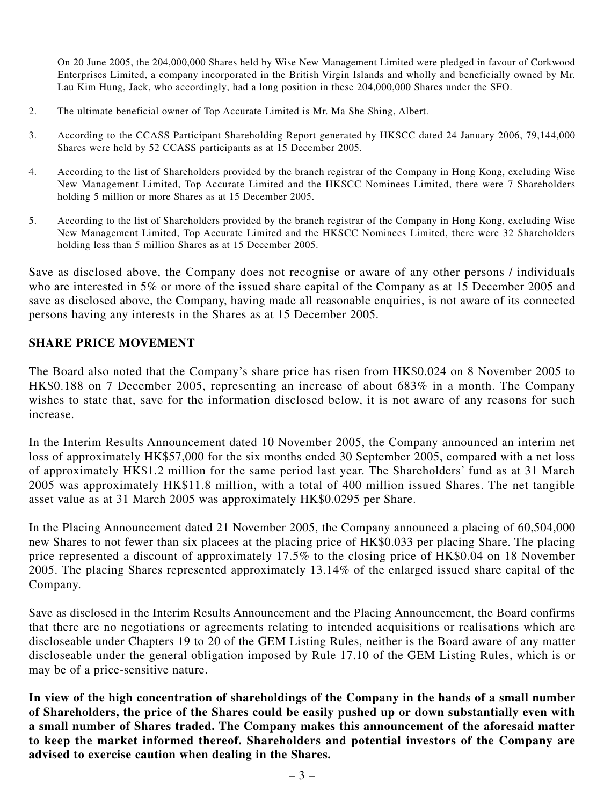On 20 June 2005, the 204,000,000 Shares held by Wise New Management Limited were pledged in favour of Corkwood Enterprises Limited, a company incorporated in the British Virgin Islands and wholly and beneficially owned by Mr. Lau Kim Hung, Jack, who accordingly, had a long position in these 204,000,000 Shares under the SFO.

- 2. The ultimate beneficial owner of Top Accurate Limited is Mr. Ma She Shing, Albert.
- 3. According to the CCASS Participant Shareholding Report generated by HKSCC dated 24 January 2006, 79,144,000 Shares were held by 52 CCASS participants as at 15 December 2005.
- 4. According to the list of Shareholders provided by the branch registrar of the Company in Hong Kong, excluding Wise New Management Limited, Top Accurate Limited and the HKSCC Nominees Limited, there were 7 Shareholders holding 5 million or more Shares as at 15 December 2005.
- 5. According to the list of Shareholders provided by the branch registrar of the Company in Hong Kong, excluding Wise New Management Limited, Top Accurate Limited and the HKSCC Nominees Limited, there were 32 Shareholders holding less than 5 million Shares as at 15 December 2005.

Save as disclosed above, the Company does not recognise or aware of any other persons / individuals who are interested in 5% or more of the issued share capital of the Company as at 15 December 2005 and save as disclosed above, the Company, having made all reasonable enquiries, is not aware of its connected persons having any interests in the Shares as at 15 December 2005.

### **SHARE PRICE MOVEMENT**

The Board also noted that the Company's share price has risen from HK\$0.024 on 8 November 2005 to HK\$0.188 on 7 December 2005, representing an increase of about 683% in a month. The Company wishes to state that, save for the information disclosed below, it is not aware of any reasons for such increase.

In the Interim Results Announcement dated 10 November 2005, the Company announced an interim net loss of approximately HK\$57,000 for the six months ended 30 September 2005, compared with a net loss of approximately HK\$1.2 million for the same period last year. The Shareholders' fund as at 31 March 2005 was approximately HK\$11.8 million, with a total of 400 million issued Shares. The net tangible asset value as at 31 March 2005 was approximately HK\$0.0295 per Share.

In the Placing Announcement dated 21 November 2005, the Company announced a placing of 60,504,000 new Shares to not fewer than six placees at the placing price of HK\$0.033 per placing Share. The placing price represented a discount of approximately 17.5% to the closing price of HK\$0.04 on 18 November 2005. The placing Shares represented approximately 13.14% of the enlarged issued share capital of the Company.

Save as disclosed in the Interim Results Announcement and the Placing Announcement, the Board confirms that there are no negotiations or agreements relating to intended acquisitions or realisations which are discloseable under Chapters 19 to 20 of the GEM Listing Rules, neither is the Board aware of any matter discloseable under the general obligation imposed by Rule 17.10 of the GEM Listing Rules, which is or may be of a price-sensitive nature.

**In view of the high concentration of shareholdings of the Company in the hands of a small number of Shareholders, the price of the Shares could be easily pushed up or down substantially even with a small number of Shares traded. The Company makes this announcement of the aforesaid matter to keep the market informed thereof. Shareholders and potential investors of the Company are advised to exercise caution when dealing in the Shares.**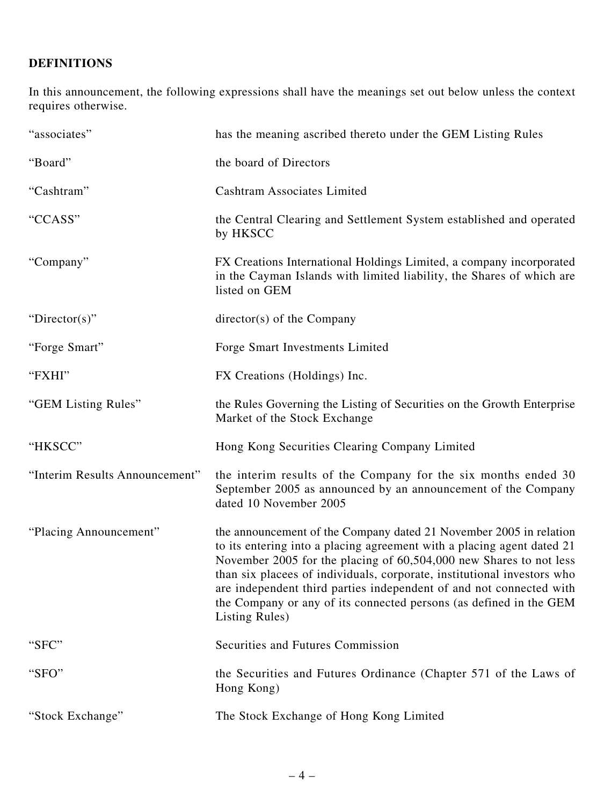## **DEFINITIONS**

In this announcement, the following expressions shall have the meanings set out below unless the context requires otherwise.

| "associates"                   | has the meaning ascribed thereto under the GEM Listing Rules                                                                                                                                                                                                                                                                                                                                                                                                 |
|--------------------------------|--------------------------------------------------------------------------------------------------------------------------------------------------------------------------------------------------------------------------------------------------------------------------------------------------------------------------------------------------------------------------------------------------------------------------------------------------------------|
| "Board"                        | the board of Directors                                                                                                                                                                                                                                                                                                                                                                                                                                       |
| "Cashtram"                     | <b>Cashtram Associates Limited</b>                                                                                                                                                                                                                                                                                                                                                                                                                           |
| "CCASS"                        | the Central Clearing and Settlement System established and operated<br>by HKSCC                                                                                                                                                                                                                                                                                                                                                                              |
| "Company"                      | FX Creations International Holdings Limited, a company incorporated<br>in the Cayman Islands with limited liability, the Shares of which are<br>listed on GEM                                                                                                                                                                                                                                                                                                |
| "Director(s)"                  | director(s) of the Company                                                                                                                                                                                                                                                                                                                                                                                                                                   |
| "Forge Smart"                  | Forge Smart Investments Limited                                                                                                                                                                                                                                                                                                                                                                                                                              |
| "FXHI"                         | FX Creations (Holdings) Inc.                                                                                                                                                                                                                                                                                                                                                                                                                                 |
| "GEM Listing Rules"            | the Rules Governing the Listing of Securities on the Growth Enterprise<br>Market of the Stock Exchange                                                                                                                                                                                                                                                                                                                                                       |
| "HKSCC"                        | Hong Kong Securities Clearing Company Limited                                                                                                                                                                                                                                                                                                                                                                                                                |
| "Interim Results Announcement" | the interim results of the Company for the six months ended 30<br>September 2005 as announced by an announcement of the Company<br>dated 10 November 2005                                                                                                                                                                                                                                                                                                    |
| "Placing Announcement"         | the announcement of the Company dated 21 November 2005 in relation<br>to its entering into a placing agreement with a placing agent dated 21<br>November 2005 for the placing of 60,504,000 new Shares to not less<br>than six placees of individuals, corporate, institutional investors who<br>are independent third parties independent of and not connected with<br>the Company or any of its connected persons (as defined in the GEM<br>Listing Rules) |
| "SFC"                          | Securities and Futures Commission                                                                                                                                                                                                                                                                                                                                                                                                                            |
| "SFO"                          | the Securities and Futures Ordinance (Chapter 571 of the Laws of<br>Hong Kong)                                                                                                                                                                                                                                                                                                                                                                               |
| "Stock Exchange"               | The Stock Exchange of Hong Kong Limited                                                                                                                                                                                                                                                                                                                                                                                                                      |